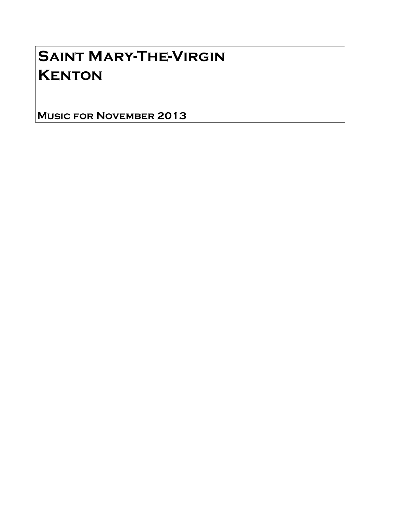# Saint Mary-The-Virgin **KENTON**

Music for November 2013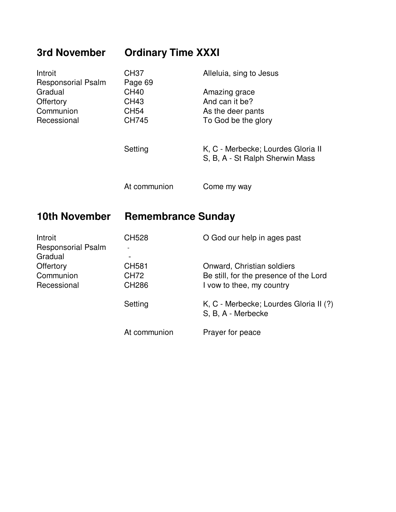# **3rd November Ordinary Time XXXI**

| Introit<br><b>Responsorial Psalm</b> | CH37<br>Page 69 | Alleluia, sing to Jesus                                               |
|--------------------------------------|-----------------|-----------------------------------------------------------------------|
| Gradual                              | <b>CH40</b>     | Amazing grace                                                         |
| Offertory                            | CH43            | And can it be?                                                        |
| Communion                            | CH54            | As the deer pants                                                     |
| Recessional                          | <b>CH745</b>    | To God be the glory                                                   |
|                                      | Setting         | K, C - Merbecke; Lourdes Gloria II<br>S, B, A - St Ralph Sherwin Mass |
|                                      | At communion    | Come my way                                                           |

### **10th November Remembrance Sunday**

| Introit                   | <b>CH528</b> | O God our help in ages past                                  |
|---------------------------|--------------|--------------------------------------------------------------|
| <b>Responsorial Psalm</b> |              |                                                              |
| Gradual                   |              |                                                              |
| Offertory                 | CH581        | Onward, Christian soldiers                                   |
| Communion                 | CH72         | Be still, for the presence of the Lord                       |
| Recessional               | <b>CH286</b> | I vow to thee, my country                                    |
|                           | Setting      | K, C - Merbecke; Lourdes Gloria II (?)<br>S, B, A - Merbecke |
|                           | At communion | Prayer for peace                                             |